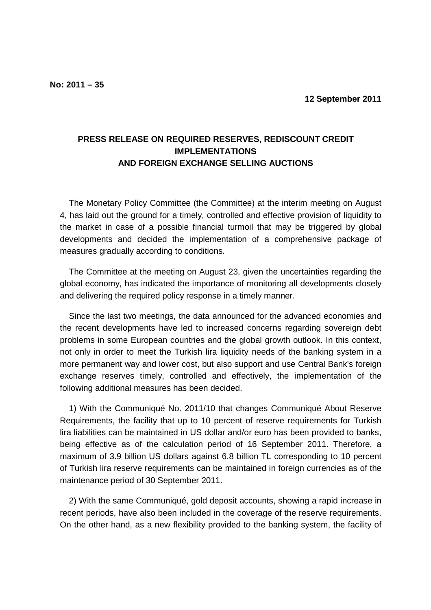## **PRESS RELEASE ON REQUIRED RESERVES, REDISCOUNT CREDIT IMPLEMENTATIONS AND FOREIGN EXCHANGE SELLING AUCTIONS**

The Monetary Policy Committee (the Committee) at the interim meeting on August 4, has laid out the ground for a timely, controlled and effective provision of liquidity to the market in case of a possible financial turmoil that may be triggered by global developments and decided the implementation of a comprehensive package of measures gradually according to conditions.

The Committee at the meeting on August 23, given the uncertainties regarding the global economy, has indicated the importance of monitoring all developments closely and delivering the required policy response in a timely manner.

Since the last two meetings, the data announced for the advanced economies and the recent developments have led to increased concerns regarding sovereign debt problems in some European countries and the global growth outlook. In this context, not only in order to meet the Turkish lira liquidity needs of the banking system in a more permanent way and lower cost, but also support and use Central Bank's foreign exchange reserves timely, controlled and effectively, the implementation of the following additional measures has been decided.

1) With the Communiqué No. 2011/10 that changes Communiqué About Reserve Requirements, the facility that up to 10 percent of reserve requirements for Turkish lira liabilities can be maintained in US dollar and/or euro has been provided to banks, being effective as of the calculation period of 16 September 2011. Therefore, a maximum of 3.9 billion US dollars against 6.8 billion TL corresponding to 10 percent of Turkish lira reserve requirements can be maintained in foreign currencies as of the maintenance period of 30 September 2011.

2) With the same Communiqué, gold deposit accounts, showing a rapid increase in recent periods, have also been included in the coverage of the reserve requirements. On the other hand, as a new flexibility provided to the banking system, the facility of